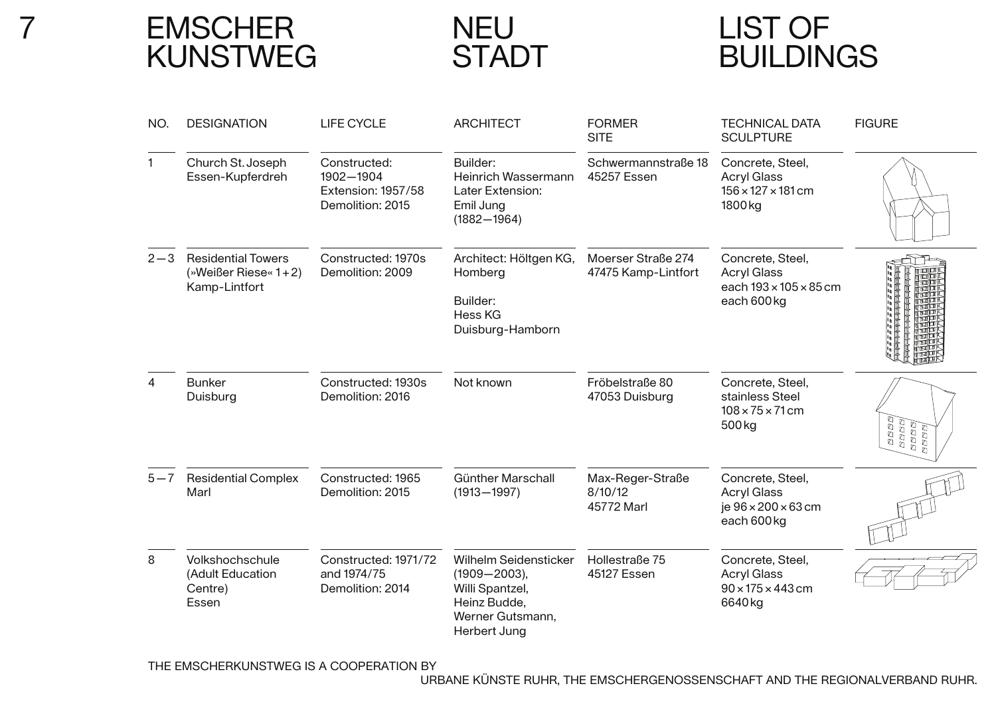<sup>7</sup> EMSCHERKUNSTWEG

**NEU** STADT

# LIST OFBUILDINGS

| NO.     | <b>DESIGNATION</b>                                                    | <b>LIFE CYCLE</b>                                                   | <b>ARCHITECT</b>                                                                                                 | <b>FORMER</b><br><b>SITE</b>              | <b>TECHNICAL DATA</b><br><b>SCULPTURE</b>                                                      | <b>FIGURE</b>                          |
|---------|-----------------------------------------------------------------------|---------------------------------------------------------------------|------------------------------------------------------------------------------------------------------------------|-------------------------------------------|------------------------------------------------------------------------------------------------|----------------------------------------|
| 1.      | Church St. Joseph<br>Essen-Kupferdreh                                 | Constructed:<br>1902-1904<br>Extension: 1957/58<br>Demolition: 2015 | Builder:<br>Heinrich Wassermann<br>Later Extension:<br>Emil Jung<br>$(1882 - 1964)$                              | Schwermannstraße 18<br>45257 Essen        | Concrete, Steel,<br><b>Acryl Glass</b><br>$156 \times 127 \times 181$ cm<br>1800 <sub>kg</sub> |                                        |
| $2 - 3$ | <b>Residential Towers</b><br>(»Weißer Riese« $1+2$ )<br>Kamp-Lintfort | Constructed: 1970s<br>Demolition: 2009                              | Architect: Höltgen KG,<br>Homberg<br>Builder:<br>Hess KG<br>Duisburg-Hamborn                                     | Moerser Straße 274<br>47475 Kamp-Lintfort | Concrete, Steel,<br><b>Acryl Glass</b><br>each 193 × 105 × 85 cm<br>each 600kg                 |                                        |
| 4       | <b>Bunker</b><br>Duisburg                                             | Constructed: 1930s<br>Demolition: 2016                              | Not known                                                                                                        | Fröbelstraße 80<br>47053 Duisburg         | Concrete, Steel,<br>stainless Steel<br>$108 \times 75 \times 71$ cm<br>500 <sub>kg</sub>       | REBE)<br>  REBE)<br>  REBE)<br>  REBE) |
| $5 - 7$ | <b>Residential Complex</b><br>Marl                                    | Constructed: 1965<br>Demolition: 2015                               | <b>Günther Marschall</b><br>$(1913 - 1997)$                                                                      | Max-Reger-Straße<br>8/10/12<br>45772 Marl | Concrete, Steel,<br><b>Acryl Glass</b><br>je 96 × 200 × 63 cm<br>each 600 kg                   |                                        |
| 8       | Volkshochschule<br>(Adult Education<br>Centre)<br>Essen               | Constructed: 1971/72<br>and 1974/75<br>Demolition: 2014             | Wilhelm Seidensticker<br>$(1909 - 2003),$<br>Willi Spantzel,<br>Heinz Budde,<br>Werner Gutsmann,<br>Herbert Jung | Hollestraße 75<br>45127 Essen             | Concrete, Steel,<br><b>Acryl Glass</b><br>$90 \times 175 \times 443$ cm<br>6640kg              |                                        |

THE EMSCHERKUNSTWEG IS A COOPERATION BY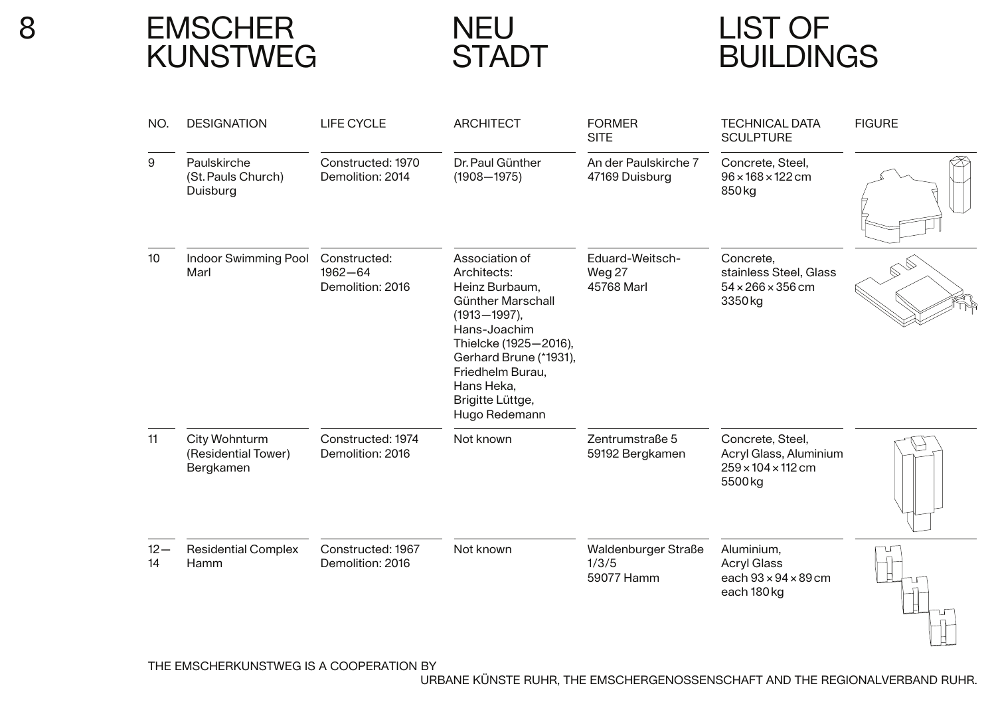**EMSCHER** KUNSTWEG

NEUSTADT

# LIST OFBUILDINGS

| NO.          | <b>DESIGNATION</b>                                | <b>LIFE CYCLE</b>                               | <b>ARCHITECT</b>                                                                                                                                                                                                                   | <b>FORMER</b><br><b>SITE</b>               | <b>TECHNICAL DATA</b><br><b>SCULPTURE</b>                                              | <b>FIGURE</b> |
|--------------|---------------------------------------------------|-------------------------------------------------|------------------------------------------------------------------------------------------------------------------------------------------------------------------------------------------------------------------------------------|--------------------------------------------|----------------------------------------------------------------------------------------|---------------|
| 9            | Paulskirche<br>(St. Pauls Church)<br>Duisburg     | Constructed: 1970<br>Demolition: 2014           | Dr. Paul Günther<br>$(1908 - 1975)$                                                                                                                                                                                                | An der Paulskirche 7<br>47169 Duisburg     | Concrete, Steel,<br>$96 \times 168 \times 122$ cm<br>850 <sub>kg</sub>                 |               |
| 10           | Indoor Swimming Pool<br>Marl                      | Constructed:<br>$1962 - 64$<br>Demolition: 2016 | Association of<br>Architects:<br>Heinz Burbaum,<br>Günther Marschall<br>$(1913 - 1997),$<br>Hans-Joachim<br>Thielcke (1925-2016),<br>Gerhard Brune (*1931),<br>Friedhelm Burau,<br>Hans Heka,<br>Brigitte Lüttge,<br>Hugo Redemann | Eduard-Weitsch-<br>Weg 27<br>45768 Marl    | Concrete,<br>stainless Steel, Glass<br>$54 \times 266 \times 356$ cm<br>3350kg         |               |
| 11           | City Wohnturm<br>(Residential Tower)<br>Bergkamen | Constructed: 1974<br>Demolition: 2016           | Not known                                                                                                                                                                                                                          | Zentrumstraße 5<br>59192 Bergkamen         | Concrete, Steel,<br>Acryl Glass, Aluminium<br>$259 \times 104 \times 112$ cm<br>5500kg |               |
| $12 -$<br>14 | <b>Residential Complex</b><br>Hamm                | Constructed: 1967<br>Demolition: 2016           | Not known                                                                                                                                                                                                                          | Waldenburger Straße<br>1/3/5<br>59077 Hamm | Aluminium,<br><b>Acryl Glass</b><br>each $93 \times 94 \times 89$ cm<br>each 180 kg    |               |

THE EMSCHERKUNSTWEG IS A COOPERATION BY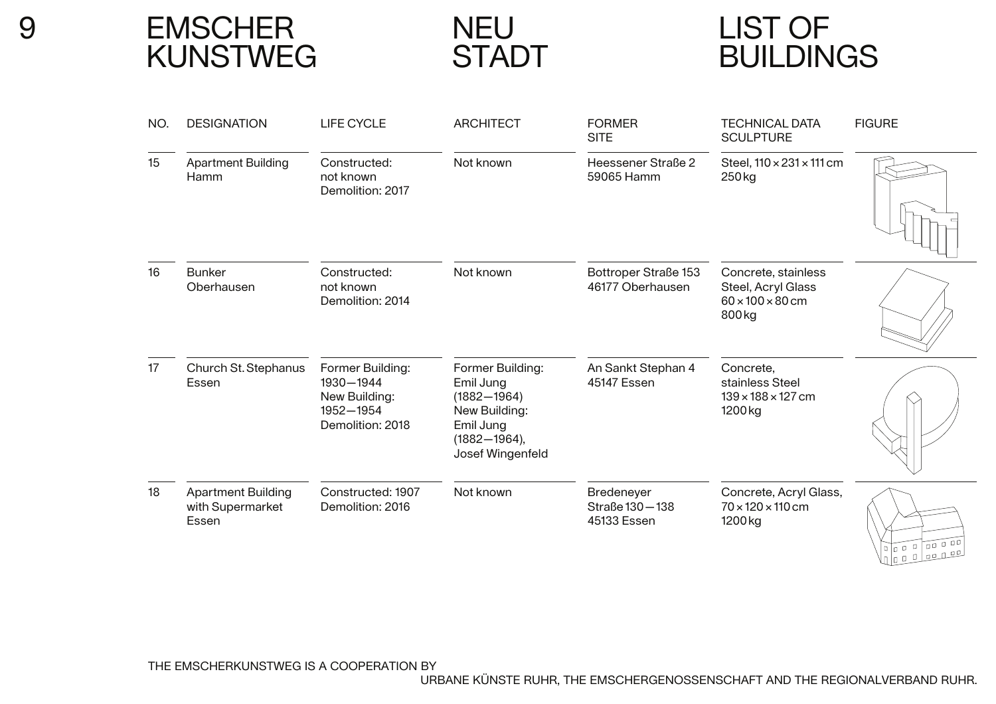EMSCHERKUNSTWEG

NEUSTADT

# LIST OFBUILDINGS

| NO. | <b>DESIGNATION</b>                                     | <b>LIFE CYCLE</b>                                                               | <b>ARCHITECT</b>                                                                                                       | <b>FORMER</b><br><b>SITE</b>                  | <b>TECHNICAL DATA</b><br><b>SCULPTURE</b>                                                      | <b>FIGURE</b>                                                                                                                                                                                                                 |
|-----|--------------------------------------------------------|---------------------------------------------------------------------------------|------------------------------------------------------------------------------------------------------------------------|-----------------------------------------------|------------------------------------------------------------------------------------------------|-------------------------------------------------------------------------------------------------------------------------------------------------------------------------------------------------------------------------------|
| 15  | <b>Apartment Building</b><br>Hamm                      | Constructed:<br>not known<br>Demolition: 2017                                   | Not known                                                                                                              | Heessener Straße 2<br>59065 Hamm              | Steel, $110 \times 231 \times 111$ cm<br>250 kg                                                |                                                                                                                                                                                                                               |
| 16  | <b>Bunker</b><br>Oberhausen                            | Constructed:<br>not known<br>Demolition: 2014                                   | Not known                                                                                                              | Bottroper Straße 153<br>46177 Oberhausen      | Concrete, stainless<br>Steel, Acryl Glass<br>$60 \times 100 \times 80$ cm<br>800 <sub>kg</sub> |                                                                                                                                                                                                                               |
| 17  | Church St. Stephanus<br>Essen                          | Former Building:<br>1930-1944<br>New Building:<br>1952-1954<br>Demolition: 2018 | Former Building:<br>Emil Jung<br>$(1882 - 1964)$<br>New Building:<br>Emil Jung<br>$(1882 - 1964),$<br>Josef Wingenfeld | An Sankt Stephan 4<br>45147 Essen             | Concrete,<br>stainless Steel<br>$139 \times 188 \times 127$ cm<br>1200 <sub>kg</sub>           |                                                                                                                                                                                                                               |
| 18  | <b>Apartment Building</b><br>with Supermarket<br>Essen | Constructed: 1907<br>Demolition: 2016                                           | Not known                                                                                                              | Bredeneyer<br>Straße 130 - 138<br>45133 Essen | Concrete, Acryl Glass,<br>$70 \times 120 \times 110$ cm<br>1200 kg                             | $\ln$   0 0   0 0 1 0 0   0 0 1 0 0 1 0 0 1 0 0 1 0 0 1 0 0 1 0 0 1 0 0 1 0 0 1 0 0 1 0 0 1 0 0 1 0 0 1 0 0 1 0 0 1 0 0 1 0 0 1 0 0 1 0 0 1 0 0 1 0 0 1 0 0 1 0 0 1 0 0 1 0 0 1 0 1 0 1 0 1 0 1 0 1 0 1 0 1 0 1 0 1 0 1 0 1 0 |

THE EMSCHERKUNSTWEG IS A COOPERATION BY

URBANE KÜNSTE RUHR, THE EMSCHERGENOSSENSCHAFT AND THE REGIONALVERBAND RUHR.